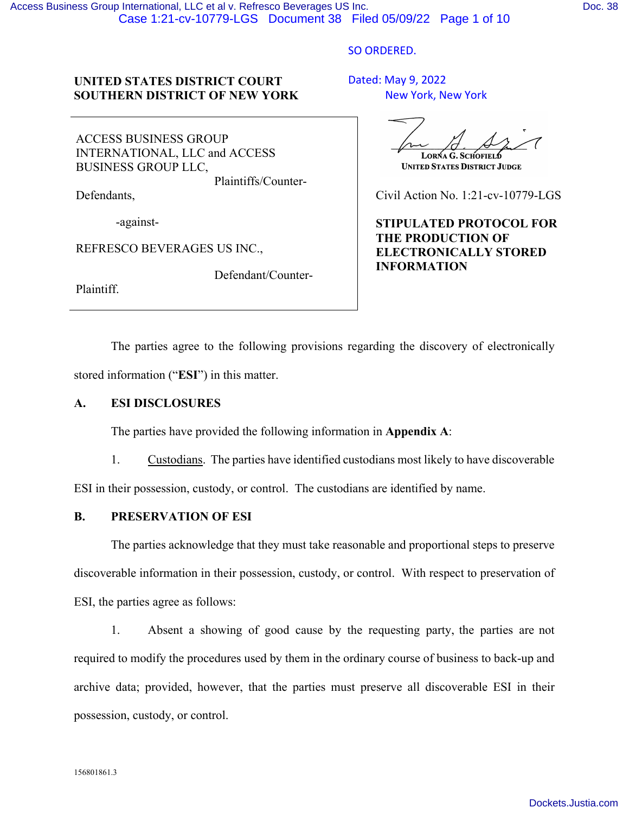#### SO ORDERED.

## **UNITED STATES DISTRICT COURT SOUTHERN DISTRICT OF NEW YORK**

ACCESS BUSINESS GROUP INTERNATIONAL, LLC and ACCESS BUSINESS GROUP LLC,

Plaintiffs/Counter-

Defendant/Counter-

Defendants,

-against-

REFRESCO BEVERAGES US INC.,

Plaintiff.

Dated: May 9, 2022 New York, New York

LORNA G. SCHOFIELD

**UNITED STATES DISTRICT JUDGE** 

Civil Action No. 1:21-cv-10779-LGS

**STIPULATED PROTOCOL FOR THE PRODUCTION OF ELECTRONICALLY STORED INFORMATION** 

The parties agree to the following provisions regarding the discovery of electronically stored information ("**ESI**") in this matter.

## **A. ESI DISCLOSURES**

The parties have provided the following information in **Appendix A**:

1. Custodians. The parties have identified custodians most likely to have discoverable

ESI in their possession, custody, or control. The custodians are identified by name.

## **B. PRESERVATION OF ESI**

The parties acknowledge that they must take reasonable and proportional steps to preserve discoverable information in their possession, custody, or control. With respect to preservation of ESI, the parties agree as follows:

1. Absent a showing of good cause by the requesting party, the parties are not required to modify the procedures used by them in the ordinary course of business to back-up and archive data; provided, however, that the parties must preserve all discoverable ESI in their possession, custody, or control.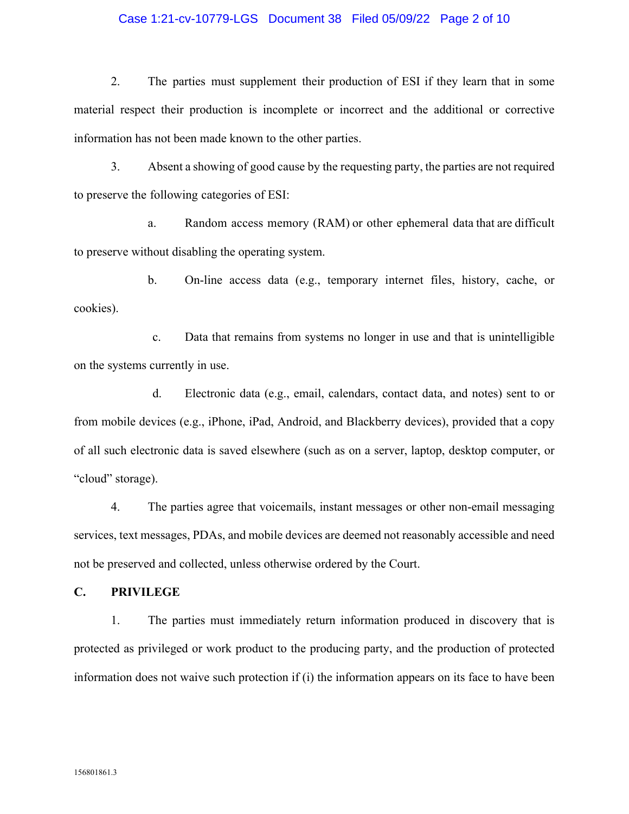### Case 1:21-cv-10779-LGS Document 38 Filed 05/09/22 Page 2 of 10

2. The parties must supplement their production of ESI if they learn that in some material respect their production is incomplete or incorrect and the additional or corrective information has not been made known to the other parties.

3. Absent a showing of good cause by the requesting party, the parties are not required to preserve the following categories of ESI:

a. Random access memory (RAM) or other ephemeral data that are difficult to preserve without disabling the operating system.

b. On-line access data (e.g., temporary internet files, history, cache, or cookies).

c. Data that remains from systems no longer in use and that is unintelligible on the systems currently in use.

d. Electronic data (e.g., email, calendars, contact data, and notes) sent to or from mobile devices (e.g., iPhone, iPad, Android, and Blackberry devices), provided that a copy of all such electronic data is saved elsewhere (such as on a server, laptop, desktop computer, or "cloud" storage).

4. The parties agree that voicemails, instant messages or other non-email messaging services, text messages, PDAs, and mobile devices are deemed not reasonably accessible and need not be preserved and collected, unless otherwise ordered by the Court.

**C. PRIVILEGE** 

1. The parties must immediately return information produced in discovery that is protected as privileged or work product to the producing party, and the production of protected information does not waive such protection if (i) the information appears on its face to have been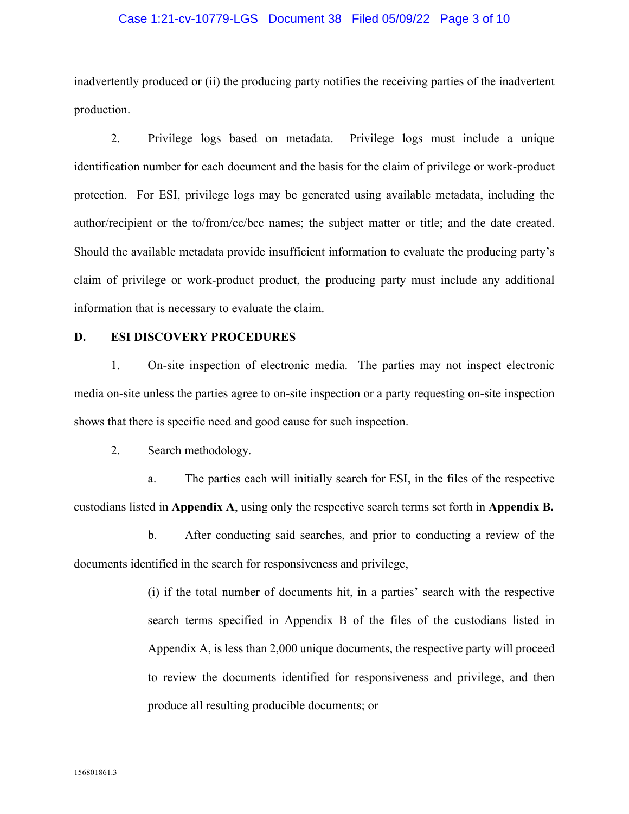### Case 1:21-cv-10779-LGS Document 38 Filed 05/09/22 Page 3 of 10

inadvertently produced or (ii) the producing party notifies the receiving parties of the inadvertent production.

2. Privilege logs based on metadata. Privilege logs must include a unique identification number for each document and the basis for the claim of privilege or work-product protection. For ESI, privilege logs may be generated using available metadata, including the author/recipient or the to/from/cc/bcc names; the subject matter or title; and the date created. Should the available metadata provide insufficient information to evaluate the producing party's claim of privilege or work-product product, the producing party must include any additional information that is necessary to evaluate the claim.

#### **D. ESI DISCOVERY PROCEDURES**

1. On-site inspection of electronic media. The parties may not inspect electronic media on-site unless the parties agree to on-site inspection or a party requesting on-site inspection shows that there is specific need and good cause for such inspection.

### 2. Search methodology.

a. The parties each will initially search for ESI, in the files of the respective custodians listed in **Appendix A**, using only the respective search terms set forth in **Appendix B.** 

b. After conducting said searches, and prior to conducting a review of the documents identified in the search for responsiveness and privilege,

> (i) if the total number of documents hit, in a parties' search with the respective search terms specified in Appendix B of the files of the custodians listed in Appendix A, is less than 2,000 unique documents, the respective party will proceed to review the documents identified for responsiveness and privilege, and then produce all resulting producible documents; or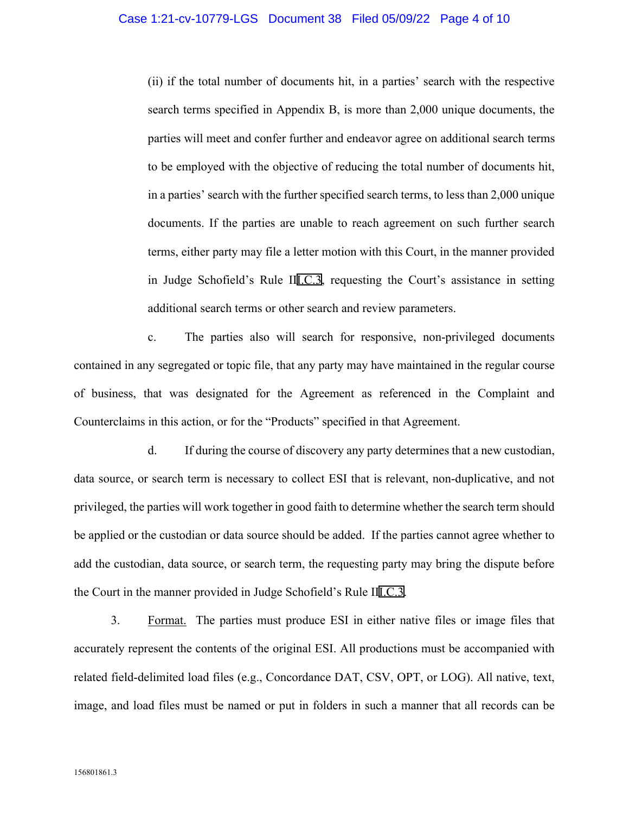(ii) if the total number of documents hit, in a parties' search with the respective search terms specified in Appendix B, is more than 2,000 unique documents, the parties will meet and confer further and endeavor agree on additional search terms to be employed with the objective of reducing the total number of documents hit, in a parties' search with the further specified search terms, to less than 2,000 unique documents. If the parties are unable to reach agreement on such further search terms, either party may file a letter motion with this Court, in the manner provided in Judge Schofield's Rule I[II.C.3](http://www.google.com/search?q=i.c.3), requesting the Court's assistance in setting additional search terms or other search and review parameters.

c. The parties also will search for responsive, non-privileged documents contained in any segregated or topic file, that any party may have maintained in the regular course of business, that was designated for the Agreement as referenced in the Complaint and Counterclaims in this action, or for the "Products" specified in that Agreement.

d. If during the course of discovery any party determines that a new custodian, data source, or search term is necessary to collect ESI that is relevant, non-duplicative, and not privileged, the parties will work together in good faith to determine whether the search term should be applied or the custodian or data source should be added. If the parties cannot agree whether to add the custodian, data source, or search term, the requesting party may bring the dispute before the Court in the manner provided in Judge Schofield's Rule I[II.C.3](http://www.google.com/search?q=i.c.3).

3. Format. The parties must produce ESI in either native files or image files that accurately represent the contents of the original ESI. All productions must be accompanied with related field-delimited load files (e.g., Concordance DAT, CSV, OPT, or LOG). All native, text, image, and load files must be named or put in folders in such a manner that all records can be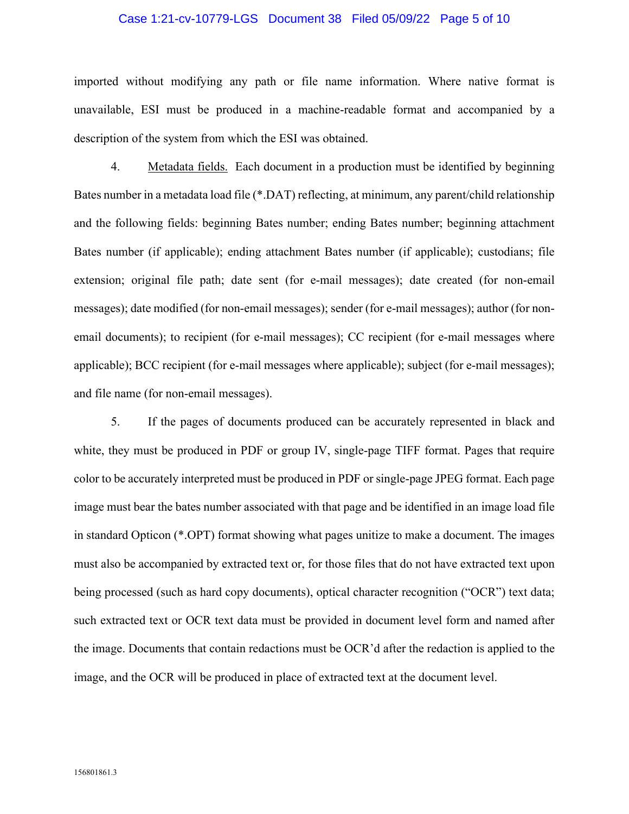#### Case 1:21-cv-10779-LGS Document 38 Filed 05/09/22 Page 5 of 10

imported without modifying any path or file name information. Where native format is unavailable, ESI must be produced in a machine-readable format and accompanied by a description of the system from which the ESI was obtained.

4. Metadata fields. Each document in a production must be identified by beginning Bates number in a metadata load file (\*.DAT) reflecting, at minimum, any parent/child relationship and the following fields: beginning Bates number; ending Bates number; beginning attachment Bates number (if applicable); ending attachment Bates number (if applicable); custodians; file extension; original file path; date sent (for e-mail messages); date created (for non-email messages); date modified (for non-email messages); sender (for e-mail messages); author (for nonemail documents); to recipient (for e-mail messages); CC recipient (for e-mail messages where applicable); BCC recipient (for e-mail messages where applicable); subject (for e-mail messages); and file name (for non-email messages).

5. If the pages of documents produced can be accurately represented in black and white, they must be produced in PDF or group IV, single-page TIFF format. Pages that require color to be accurately interpreted must be produced in PDF or single-page JPEG format. Each page image must bear the bates number associated with that page and be identified in an image load file in standard Opticon (\*.OPT) format showing what pages unitize to make a document. The images must also be accompanied by extracted text or, for those files that do not have extracted text upon being processed (such as hard copy documents), optical character recognition ("OCR") text data; such extracted text or OCR text data must be provided in document level form and named after the image. Documents that contain redactions must be OCR'd after the redaction is applied to the image, and the OCR will be produced in place of extracted text at the document level.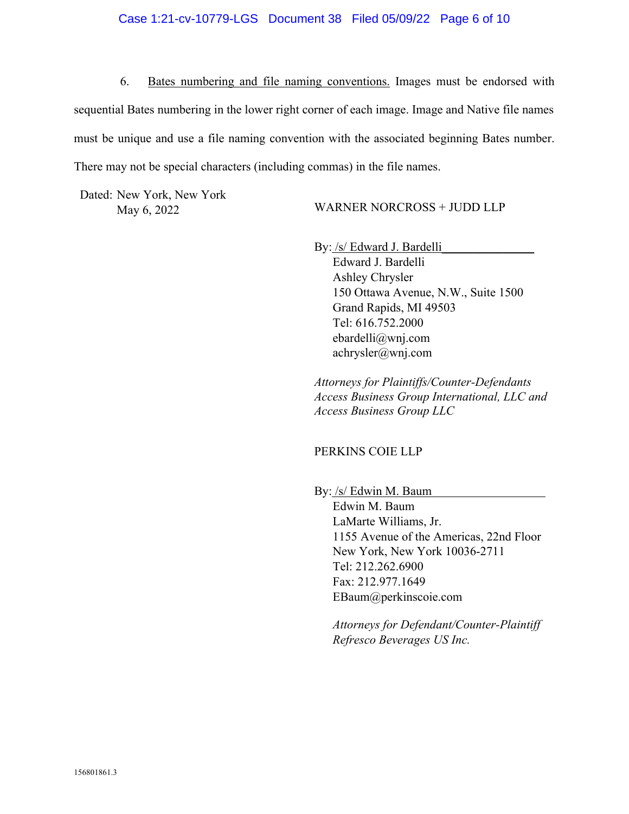6. Bates numbering and file naming conventions. Images must be endorsed with sequential Bates numbering in the lower right corner of each image. Image and Native file names must be unique and use a file naming convention with the associated beginning Bates number. There may not be special characters (including commas) in the file names.

Dated: New York, New York

May 6, 2022 WARNER NORCROSS + JUDD LLP

By: /s/ Edward J. Bardelli

Edward J. Bardelli Ashley Chrysler 150 Ottawa Avenue, N.W., Suite 1500 Grand Rapids, MI 49503 Tel: 616.752.2000 ebardelli@wnj.com achrysler@wnj.com

*Attorneys for Plaintiffs/Counter-Defendants Access Business Group International, LLC and Access Business Group LLC* 

## PERKINS COIE LLP

By: /s/ Edwin M. Baum

Edwin M. Baum LaMarte Williams, Jr. 1155 Avenue of the Americas, 22nd Floor New York, New York 10036-2711 Tel: 212.262.6900 Fax: 212.977.1649 EBaum@perkinscoie.com

*Attorneys for Defendant/Counter-Plaintiff Refresco Beverages US Inc.*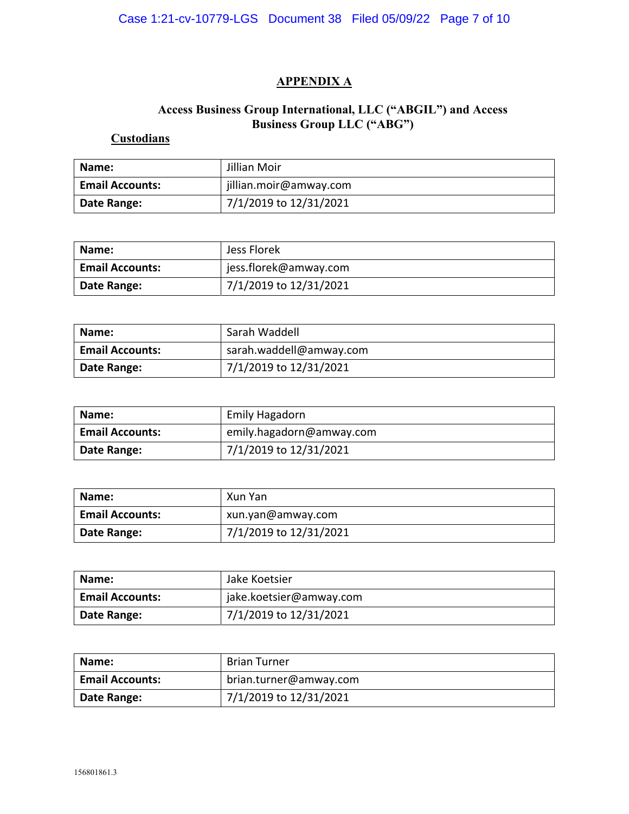# **APPENDIX A**

## **Access Business Group International, LLC ("ABGIL") and Access Business Group LLC ("ABG")**

# **Custodians**

| Name:                  | Jillian Moir           |
|------------------------|------------------------|
| <b>Email Accounts:</b> | jillian.moir@amway.com |
| Date Range:            | 7/1/2019 to 12/31/2021 |

| Name:                  | Jess Florek            |
|------------------------|------------------------|
| <b>Email Accounts:</b> | jess.florek@amway.com  |
| Date Range:            | 7/1/2019 to 12/31/2021 |

| Name:                  | Sarah Waddell           |
|------------------------|-------------------------|
| <b>Email Accounts:</b> | sarah.waddell@amway.com |
| Date Range:            | 7/1/2019 to 12/31/2021  |

| Name:                  | Emily Hagadorn           |
|------------------------|--------------------------|
| <b>Email Accounts:</b> | emily.hagadorn@amway.com |
| Date Range:            | 7/1/2019 to 12/31/2021   |

| Name:                  | Xun Yan                |
|------------------------|------------------------|
| <b>Email Accounts:</b> | xun.yan@amway.com      |
| Date Range:            | 7/1/2019 to 12/31/2021 |

| Name:                  | Jake Koetsier           |
|------------------------|-------------------------|
| <b>Email Accounts:</b> | jake.koetsier@amway.com |
| Date Range:            | 7/1/2019 to 12/31/2021  |

| Name:                  | <b>Brian Turner</b>    |
|------------------------|------------------------|
| <b>Email Accounts:</b> | brian.turner@amway.com |
| Date Range:            | 7/1/2019 to 12/31/2021 |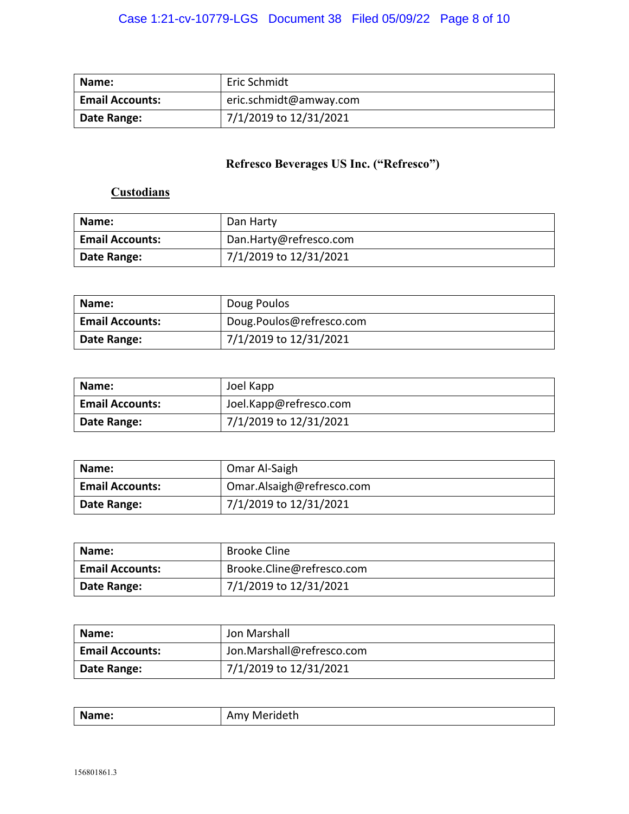| Name:                  | Eric Schmidt           |
|------------------------|------------------------|
| <b>Email Accounts:</b> | eric.schmidt@amway.com |
| Date Range:            | 7/1/2019 to 12/31/2021 |

# **Refresco Beverages US Inc. ("Refresco")**

# **Custodians**

| Name:                  | Dan Harty              |
|------------------------|------------------------|
| <b>Email Accounts:</b> | Dan.Harty@refresco.com |
| Date Range:            | 7/1/2019 to 12/31/2021 |

| Name:                  | Doug Poulos              |
|------------------------|--------------------------|
| <b>Email Accounts:</b> | Doug.Poulos@refresco.com |
| Date Range:            | 7/1/2019 to 12/31/2021   |

| Name:                  | Joel Kapp              |
|------------------------|------------------------|
| <b>Email Accounts:</b> | Joel.Kapp@refresco.com |
| Date Range:            | 7/1/2019 to 12/31/2021 |

| Name:                  | Omar Al-Saigh             |
|------------------------|---------------------------|
| <b>Email Accounts:</b> | Omar.Alsaigh@refresco.com |
| Date Range:            | 7/1/2019 to 12/31/2021    |

| Name:                  | <b>Brooke Cline</b>       |
|------------------------|---------------------------|
| <b>Email Accounts:</b> | Brooke.Cline@refresco.com |
| Date Range:            | 7/1/2019 to 12/31/2021    |

| Name:                  | Jon Marshall              |
|------------------------|---------------------------|
| <b>Email Accounts:</b> | Jon.Marshall@refresco.com |
| Date Range:            | 7/1/2019 to 12/31/2021    |

| $\mathbf{A}$<br>me<br>w<br><br>, ,, , ,<br>$\sim$ $\sim$ $\sim$ $\sim$ $\sim$ $\sim$ $\sim$ $\sim$ |
|----------------------------------------------------------------------------------------------------|
|----------------------------------------------------------------------------------------------------|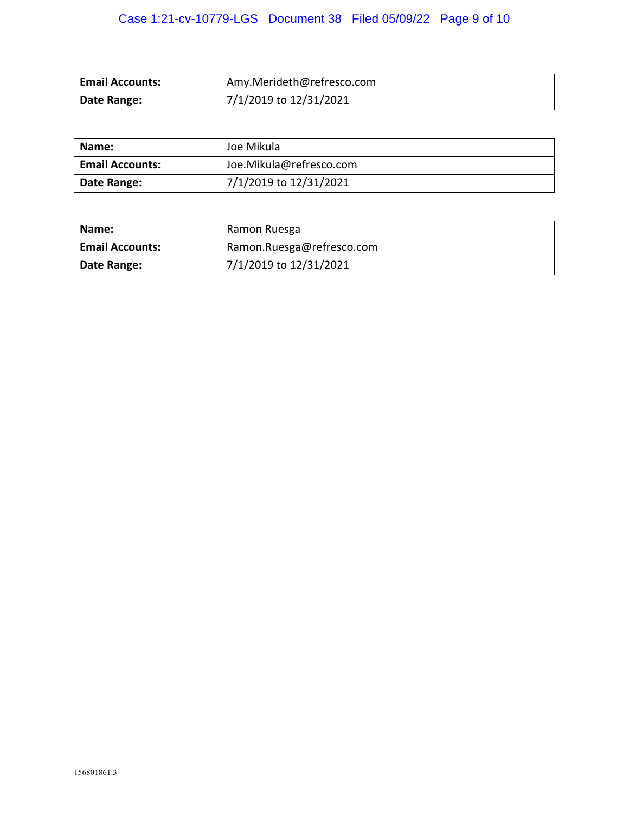# Case 1:21-cv-10779-LGS Document 38 Filed 05/09/22 Page 9 of 10

| <b>Email Accounts:</b> | Amy.Merideth@refresco.com |
|------------------------|---------------------------|
| Date Range:            | 7/1/2019 to 12/31/2021    |

| Name:                  | Joe Mikula              |
|------------------------|-------------------------|
| <b>Email Accounts:</b> | Joe.Mikula@refresco.com |
| Date Range:            | 7/1/2019 to 12/31/2021  |

| Name:                  | Ramon Ruesga              |
|------------------------|---------------------------|
| <b>Email Accounts:</b> | Ramon.Ruesga@refresco.com |
| Date Range:            | 7/1/2019 to 12/31/2021    |